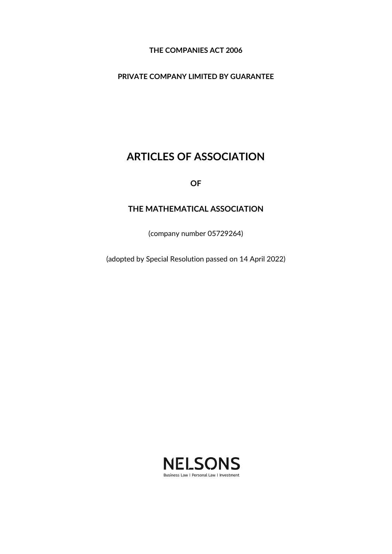## **THE COMPANIES ACT 2006**

## **PRIVATE COMPANY LIMITED BY GUARANTEE**

# **ARTICLES OF ASSOCIATION**

**OF**

## **THE MATHEMATICAL ASSOCIATION**

(company number 05729264)

(adopted by Special Resolution passed on 14 April 2022)

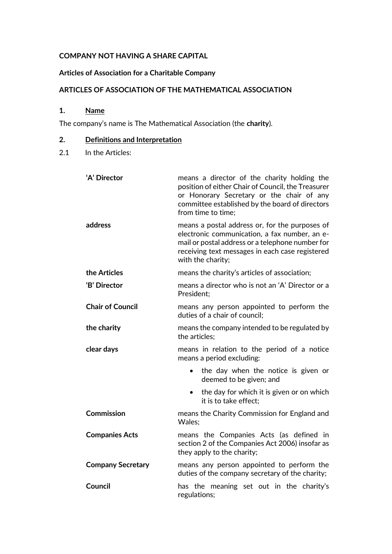## **COMPANY NOT HAVING A SHARE CAPITAL**

## **Articles of Association for a Charitable Company**

## **ARTICLES OF ASSOCIATION OF THE MATHEMATICAL ASSOCIATION**

**1. Name**

The company's name is The Mathematical Association (the **charity**).

## **2. Definitions and Interpretation**

2.1 In the Articles:

| 'A' Director             | means a director of the charity holding the<br>position of either Chair of Council, the Treasurer<br>or Honorary Secretary or the chair of any<br>committee established by the board of directors<br>from time to time;     |
|--------------------------|-----------------------------------------------------------------------------------------------------------------------------------------------------------------------------------------------------------------------------|
| address                  | means a postal address or, for the purposes of<br>electronic communication, a fax number, an e-<br>mail or postal address or a telephone number for<br>receiving text messages in each case registered<br>with the charity; |
| the Articles             | means the charity's articles of association;                                                                                                                                                                                |
| 'B' Director             | means a director who is not an 'A' Director or a<br>President:                                                                                                                                                              |
| <b>Chair of Council</b>  | means any person appointed to perform the<br>duties of a chair of council;                                                                                                                                                  |
| the charity              | means the company intended to be regulated by<br>the articles:                                                                                                                                                              |
| clear days               | means in relation to the period of a notice<br>means a period excluding:                                                                                                                                                    |
|                          | the day when the notice is given or<br>$\bullet$<br>deemed to be given; and                                                                                                                                                 |
|                          | the day for which it is given or on which<br>$\bullet$<br>it is to take effect;                                                                                                                                             |
| <b>Commission</b>        | means the Charity Commission for England and<br>Wales;                                                                                                                                                                      |
| <b>Companies Acts</b>    | means the Companies Acts (as defined in<br>section 2 of the Companies Act 2006) insofar as<br>they apply to the charity;                                                                                                    |
| <b>Company Secretary</b> | means any person appointed to perform the<br>duties of the company secretary of the charity;                                                                                                                                |
| <b>Council</b>           | has the meaning set out in the charity's<br>regulations;                                                                                                                                                                    |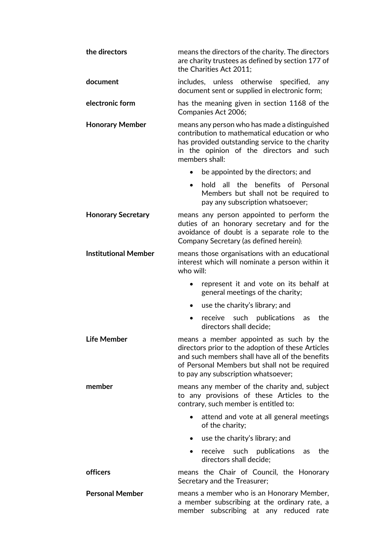| the directors               | means the directors of the charity. The directors<br>are charity trustees as defined by section 177 of<br>the Charities Act 2011;                                                                                                       |
|-----------------------------|-----------------------------------------------------------------------------------------------------------------------------------------------------------------------------------------------------------------------------------------|
| document                    | includes, unless otherwise specified,<br>any<br>document sent or supplied in electronic form;                                                                                                                                           |
| electronic form             | has the meaning given in section 1168 of the<br>Companies Act 2006;                                                                                                                                                                     |
| <b>Honorary Member</b>      | means any person who has made a distinguished<br>contribution to mathematical education or who<br>has provided outstanding service to the charity<br>in the opinion of the directors and such<br>members shall:                         |
|                             | be appointed by the directors; and                                                                                                                                                                                                      |
|                             | the benefits of Personal<br>hold all<br>Members but shall not be required to<br>pay any subscription whatsoever;                                                                                                                        |
| <b>Honorary Secretary</b>   | means any person appointed to perform the<br>duties of an honorary secretary and for the<br>avoidance of doubt is a separate role to the<br>Company Secretary (as defined herein);                                                      |
| <b>Institutional Member</b> | means those organisations with an educational<br>interest which will nominate a person within it<br>who will:                                                                                                                           |
|                             | represent it and vote on its behalf at<br>general meetings of the charity;                                                                                                                                                              |
|                             | use the charity's library; and                                                                                                                                                                                                          |
|                             | receive such publications<br>the<br>as<br>٠<br>directors shall decide;                                                                                                                                                                  |
| <b>Life Member</b>          | means a member appointed as such by the<br>directors prior to the adoption of these Articles<br>and such members shall have all of the benefits<br>of Personal Members but shall not be required<br>to pay any subscription whatsoever; |
| member                      | means any member of the charity and, subject<br>to any provisions of these Articles to the<br>contrary, such member is entitled to:                                                                                                     |
|                             | attend and vote at all general meetings<br>of the charity;                                                                                                                                                                              |
|                             | use the charity's library; and<br>٠                                                                                                                                                                                                     |
|                             | receive such publications<br>the<br>as<br>directors shall decide;                                                                                                                                                                       |
| officers                    | means the Chair of Council, the Honorary<br>Secretary and the Treasurer;                                                                                                                                                                |
| <b>Personal Member</b>      | means a member who is an Honorary Member,<br>a member subscribing at the ordinary rate, a<br>member subscribing at any reduced rate                                                                                                     |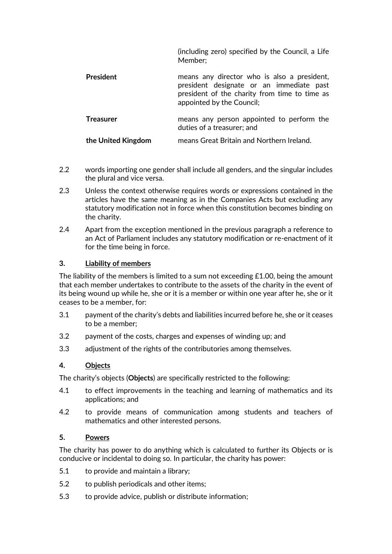|                    | (including zero) specified by the Council, a Life<br>Member:                                                                                                          |
|--------------------|-----------------------------------------------------------------------------------------------------------------------------------------------------------------------|
| <b>President</b>   | means any director who is also a president,<br>president designate or an immediate past<br>president of the charity from time to time as<br>appointed by the Council; |
| <b>Treasurer</b>   | means any person appointed to perform the<br>duties of a treasurer; and                                                                                               |
| the United Kingdom | means Great Britain and Northern Ireland.                                                                                                                             |

- 2.2 words importing one gender shall include all genders, and the singular includes the plural and vice versa.
- 2.3 Unless the context otherwise requires words or expressions contained in the articles have the same meaning as in the Companies Acts but excluding any statutory modification not in force when this constitution becomes binding on the charity.
- 2.4 Apart from the exception mentioned in the previous paragraph a reference to an Act of Parliament includes any statutory modification or re-enactment of it for the time being in force.

#### **3. Liability of members**

The liability of the members is limited to a sum not exceeding  $£1.00$ , being the amount that each member undertakes to contribute to the assets of the charity in the event of its being wound up while he, she or it is a member or within one year after he, she or it ceases to be a member, for:

- 3.1 payment of the charity's debts and liabilities incurred before he, she or it ceases to be a member;
- 3.2 payment of the costs, charges and expenses of winding up; and
- 3.3 adjustment of the rights of the contributories among themselves.

#### **4. Objects**

The charity's objects (**Objects**) are specifically restricted to the following:

- 4.1 to effect improvements in the teaching and learning of mathematics and its applications; and
- 4.2 to provide means of communication among students and teachers of mathematics and other interested persons.

## **5. Powers**

The charity has power to do anything which is calculated to further its Objects or is conducive or incidental to doing so. In particular, the charity has power:

- 5.1 to provide and maintain a library;
- 5.2 to publish periodicals and other items;
- 5.3 to provide advice, publish or distribute information;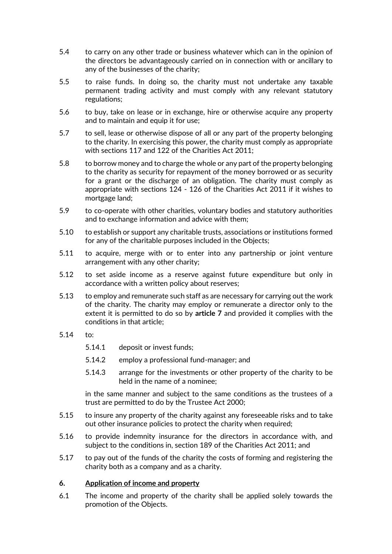- 5.4 to carry on any other trade or business whatever which can in the opinion of the directors be advantageously carried on in connection with or ancillary to any of the businesses of the charity;
- 5.5 to raise funds. In doing so, the charity must not undertake any taxable permanent trading activity and must comply with any relevant statutory regulations;
- 5.6 to buy, take on lease or in exchange, hire or otherwise acquire any property and to maintain and equip it for use;
- 5.7 to sell, lease or otherwise dispose of all or any part of the property belonging to the charity. In exercising this power, the charity must comply as appropriate with sections 117 and 122 of the Charities Act 2011;
- 5.8 to borrow money and to charge the whole or any part of the property belonging to the charity as security for repayment of the money borrowed or as security for a grant or the discharge of an obligation. The charity must comply as appropriate with sections 124 - 126 of the Charities Act 2011 if it wishes to mortgage land;
- 5.9 to co-operate with other charities, voluntary bodies and statutory authorities and to exchange information and advice with them;
- 5.10 to establish or support any charitable trusts, associations or institutions formed for any of the charitable purposes included in the Objects;
- 5.11 to acquire, merge with or to enter into any partnership or joint venture arrangement with any other charity;
- 5.12 to set aside income as a reserve against future expenditure but only in accordance with a written policy about reserves;
- 5.13 to employ and remunerate such staff as are necessary for carrying out the work of the charity. The charity may employ or remunerate a director only to the extent it is permitted to do so by **article [7](#page-5-0)** and provided it complies with the conditions in that article;
- 5.14 to:
	- 5.14.1 deposit or invest funds;
	- 5.14.2 employ a professional fund-manager; and
	- 5.14.3 arrange for the investments or other property of the charity to be held in the name of a nominee;

in the same manner and subject to the same conditions as the trustees of a trust are permitted to do by the Trustee Act 2000;

- 5.15 to insure any property of the charity against any foreseeable risks and to take out other insurance policies to protect the charity when required;
- 5.16 to provide indemnity insurance for the directors in accordance with, and subject to the conditions in, section 189 of the Charities Act 2011; and
- 5.17 to pay out of the funds of the charity the costs of forming and registering the charity both as a company and as a charity.

#### **6. Application of income and property**

6.1 The income and property of the charity shall be applied solely towards the promotion of the Objects.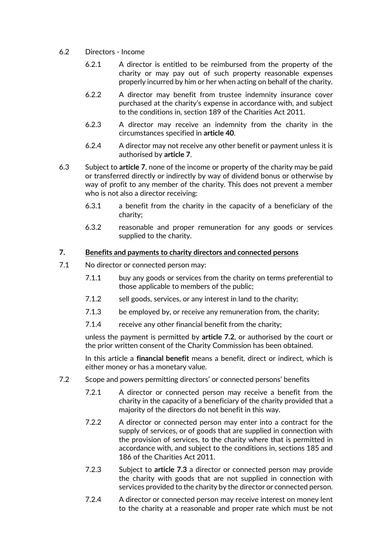- 6.2 Directors Income
	- 6.2.1 A director is entitled to be reimbursed from the property of the charity or may pay out of such property reasonable expenses properly incurred by him or her when acting on behalf of the charity.
	- 6.2.2 A director may benefit from trustee indemnity insurance cover purchased at the charity's expense in accordance with, and subject to the conditions in, section 189 of the Charities Act 2011.
	- 6.2.3 A director may receive an indemnity from the charity in the circumstances specified in **articl[e 40](#page-19-0)**.
	- 6.2.4 A director may not receive any other benefit or payment unless it is authorised by **articl[e 7](#page-5-0)**.
- 6.3 Subject to **article [7](#page-5-0)**, none of the income or property of the charity may be paid or transferred directly or indirectly by way of dividend bonus or otherwise by way of profit to any member of the charity. This does not prevent a member who is not also a director receiving:
	- 6.3.1 a benefit from the charity in the capacity of a beneficiary of the charity;
	- 6.3.2 reasonable and proper remuneration for any goods or services supplied to the charity.

## <span id="page-5-0"></span>**7. Benefits and payments to charity directors and connected persons**

- 7.1 No director or connected person may:
	- 7.1.1 buy any goods or services from the charity on terms preferential to those applicable to members of the public;
	- 7.1.2 sell goods, services, or any interest in land to the charity;
	- 7.1.3 be employed by, or receive any remuneration from, the charity;
	- 7.1.4 receive any other financial benefit from the charity;

unless the payment is permitted by **article [7.2](#page-5-1)**, or authorised by the court or the prior written consent of the Charity Commission has been obtained.

In this article a **financial benefit** means a benefit, direct or indirect, which is either money or has a monetary value.

- <span id="page-5-2"></span><span id="page-5-1"></span>7.2 Scope and powers permitting directors' or connected persons' benefits
	- 7.2.1 A director or connected person may receive a benefit from the charity in the capacity of a beneficiary of the charity provided that a majority of the directors do not benefit in this way.
	- 7.2.2 A director or connected person may enter into a contract for the supply of services, or of goods that are supplied in connection with the provision of services, to the charity where that is permitted in accordance with, and subject to the conditions in, sections 185 and 186 of the Charities Act 2011.
	- 7.2.3 Subject to **article [7.3](#page-6-0)** a director or connected person may provide the charity with goods that are not supplied in connection with services provided to the charity by the director or connected person.
	- 7.2.4 A director or connected person may receive interest on money lent to the charity at a reasonable and proper rate which must be not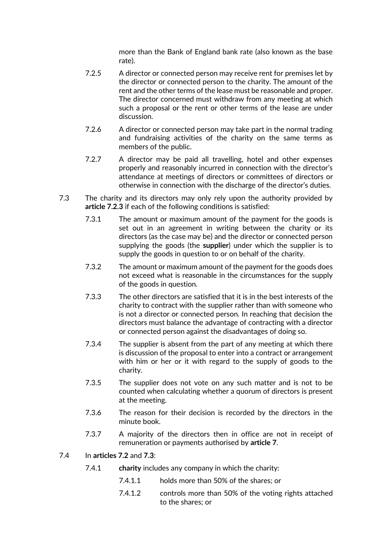more than the Bank of England bank rate (also known as the base rate).

- 7.2.5 A director or connected person may receive rent for premises let by the director or connected person to the charity. The amount of the rent and the other terms of the lease must be reasonable and proper. The director concerned must withdraw from any meeting at which such a proposal or the rent or other terms of the lease are under discussion.
- 7.2.6 A director or connected person may take part in the normal trading and fundraising activities of the charity on the same terms as members of the public.
- 7.2.7 A director may be paid all travelling, hotel and other expenses properly and reasonably incurred in connection with the director's attendance at meetings of directors or committees of directors or otherwise in connection with the discharge of the director's duties.
- <span id="page-6-0"></span>7.3 The charity and its directors may only rely upon the authority provided by **article [7.2.3](#page-5-2)** if each of the following conditions is satisfied:
	- 7.3.1 The amount or maximum amount of the payment for the goods is set out in an agreement in writing between the charity or its directors (as the case may be) and the director or connected person supplying the goods (the **supplier**) under which the supplier is to supply the goods in question to or on behalf of the charity.
	- 7.3.2 The amount or maximum amount of the payment for the goods does not exceed what is reasonable in the circumstances for the supply of the goods in question.
	- 7.3.3 The other directors are satisfied that it is in the best interests of the charity to contract with the supplier rather than with someone who is not a director or connected person. In reaching that decision the directors must balance the advantage of contracting with a director or connected person against the disadvantages of doing so.
	- 7.3.4 The supplier is absent from the part of any meeting at which there is discussion of the proposal to enter into a contract or arrangement with him or her or it with regard to the supply of goods to the charity.
	- 7.3.5 The supplier does not vote on any such matter and is not to be counted when calculating whether a quorum of directors is present at the meeting.
	- 7.3.6 The reason for their decision is recorded by the directors in the minute book.
	- 7.3.7 A majority of the directors then in office are not in receipt of remuneration or payments authorised by **articl[e 7](#page-5-0)**.
- 7.4 In **articles [7.2](#page-5-1)** and **[7.3](#page-6-0)**:
	- 7.4.1 **charity** includes any company in which the charity:
		- 7.4.1.1 holds more than 50% of the shares; or
		- 7.4.1.2 controls more than 50% of the voting rights attached to the shares; or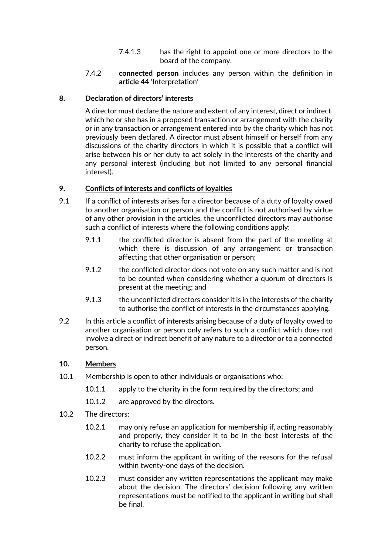- 7.4.1.3 has the right to appoint one or more directors to the board of the company.
- 7.4.2 **connected person** includes any person within the definition in **articl[e 44](#page-21-0)** 'Interpretation'

## <span id="page-7-0"></span>**8. Declaration of directors' interests**

A director must declare the nature and extent of any interest, direct or indirect, which he or she has in a proposed transaction or arrangement with the charity or in any transaction or arrangement entered into by the charity which has not previously been declared. A director must absent himself or herself from any discussions of the charity directors in which it is possible that a conflict will arise between his or her duty to act solely in the interests of the charity and any personal interest (including but not limited to any personal financial interest).

## **9. Conflicts of interests and conflicts of loyalties**

- 9.1 If a conflict of interests arises for a director because of a duty of loyalty owed to another organisation or person and the conflict is not authorised by virtue of any other provision in the articles, the unconflicted directors may authorise such a conflict of interests where the following conditions apply:
	- 9.1.1 the conflicted director is absent from the part of the meeting at which there is discussion of any arrangement or transaction affecting that other organisation or person;
	- 9.1.2 the conflicted director does not vote on any such matter and is not to be counted when considering whether a quorum of directors is present at the meeting; and
	- 9.1.3 the unconflicted directors consider it is in the interests of the charity to authorise the conflict of interests in the circumstances applying.
- <span id="page-7-1"></span>9.2 In this article a conflict of interests arising because of a duty of loyalty owed to another organisation or person only refers to such a conflict which does not involve a direct or indirect benefit of any nature to a director or to a connected person.

## **10. Members**

- 10.1 Membership is open to other individuals or organisations who:
	- 10.1.1 apply to the charity in the form required by the directors; and
	- 10.1.2 are approved by the directors.
- 10.2 The directors:
	- 10.2.1 may only refuse an application for membership if, acting reasonably and properly, they consider it to be in the best interests of the charity to refuse the application.
	- 10.2.2 must inform the applicant in writing of the reasons for the refusal within twenty-one days of the decision.
	- 10.2.3 must consider any written representations the applicant may make about the decision. The directors' decision following any written representations must be notified to the applicant in writing but shall be final.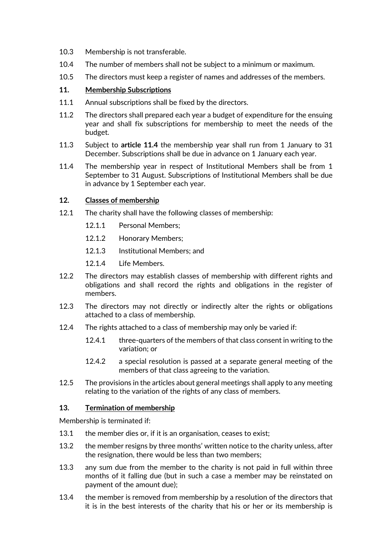- 10.3 Membership is not transferable.
- 10.4 The number of members shall not be subject to a minimum or maximum.
- 10.5 The directors must keep a register of names and addresses of the members.

## **11. Membership Subscriptions**

- 11.1 Annual subscriptions shall be fixed by the directors.
- 11.2 The directors shall prepared each year a budget of expenditure for the ensuing year and shall fix subscriptions for membership to meet the needs of the budget.
- 11.3 Subject to **article [11.4](#page-8-0)** the membership year shall run from 1 January to 31 December. Subscriptions shall be due in advance on 1 January each year.
- <span id="page-8-0"></span>11.4 The membership year in respect of Institutional Members shall be from 1 September to 31 August. Subscriptions of Institutional Members shall be due in advance by 1 September each year.

## <span id="page-8-1"></span>**12. Classes of membership**

- 12.1 The charity shall have the following classes of membership:
	- 12.1.1 Personal Members;
	- 12.1.2 Honorary Members;
	- 12.1.3 Institutional Members; and
	- 12.1.4 Life Members.
- 12.2 The directors may establish classes of membership with different rights and obligations and shall record the rights and obligations in the register of members.
- 12.3 The directors may not directly or indirectly alter the rights or obligations attached to a class of membership.
- 12.4 The rights attached to a class of membership may only be varied if:
	- 12.4.1 three-quarters of the members of that class consent in writing to the variation; or
	- 12.4.2 a special resolution is passed at a separate general meeting of the members of that class agreeing to the variation.
- 12.5 The provisions in the articles about general meetings shall apply to any meeting relating to the variation of the rights of any class of members.

#### **13. Termination of membership**

Membership is terminated if:

- 13.1 the member dies or, if it is an organisation, ceases to exist;
- 13.2 the member resigns by three months' written notice to the charity unless, after the resignation, there would be less than two members;
- 13.3 any sum due from the member to the charity is not paid in full within three months of it falling due (but in such a case a member may be reinstated on payment of the amount due);
- 13.4 the member is removed from membership by a resolution of the directors that it is in the best interests of the charity that his or her or its membership is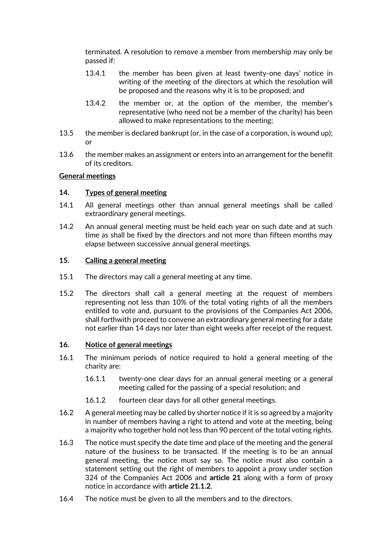terminated. A resolution to remove a member from membership may only be passed if:

- 13.4.1 the member has been given at least twenty-one days' notice in writing of the meeting of the directors at which the resolution will be proposed and the reasons why it is to be proposed; and
- 13.4.2 the member or, at the option of the member, the member's representative (who need not be a member of the charity) has been allowed to make representations to the meeting;
- 13.5 the member is declared bankrupt (or, in the case of a corporation, is wound up); or
- 13.6 the member makes an assignment or enters into an arrangement for the benefit of its creditors.

#### **General meetings**

#### **14. Types of general meeting**

- 14.1 All general meetings other than annual general meetings shall be called extraordinary general meetings.
- 14.2 An annual general meeting must be held each year on such date and at such time as shall be fixed by the directors and not more than fifteen months may elapse between successive annual general meetings.

#### **15. Calling a general meeting**

- 15.1 The directors may call a general meeting at any time.
- 15.2 The directors shall call a general meeting at the request of members representing not less than 10% of the total voting rights of all the members entitled to vote and, pursuant to the provisions of the Companies Act 2006, shall forthwith proceed to convene an extraordinary general meeting for a date not earlier than 14 days nor later than eight weeks after receipt of the request.

#### **16. Notice of general meetings**

- 16.1 The minimum periods of notice required to hold a general meeting of the charity are:
	- 16.1.1 twenty-one clear days for an annual general meeting or a general meeting called for the passing of a special resolution; and
	- 16.1.2 fourteen clear days for all other general meetings.
- 16.2 A general meeting may be called by shorter notice if it is so agreed by a majority in number of members having a right to attend and vote at the meeting, being a majority who together hold not less than 90 percent of the total voting rights.
- 16.3 The notice must specify the date time and place of the meeting and the general nature of the business to be transacted. If the meeting is to be an annual general meeting, the notice must say so. The notice must also contain a statement setting out the right of members to appoint a proxy under section 324 of the Companies Act 2006 and **article [21](#page-11-0)** along with a form of proxy notice in accordance with **article [21.1.2](#page-12-0)**.
- 16.4 The notice must be given to all the members and to the directors.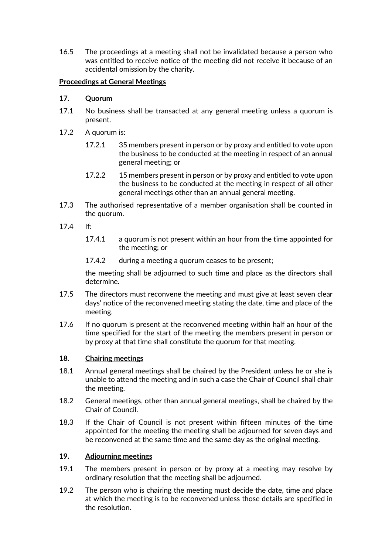16.5 The proceedings at a meeting shall not be invalidated because a person who was entitled to receive notice of the meeting did not receive it because of an accidental omission by the charity.

## **Proceedings at General Meetings**

## **17. Quorum**

- 17.1 No business shall be transacted at any general meeting unless a quorum is present.
- 17.2 A quorum is:
	- 17.2.1 35 members present in person or by proxy and entitled to vote upon the business to be conducted at the meeting in respect of an annual general meeting; or
	- 17.2.2 15 members present in person or by proxy and entitled to vote upon the business to be conducted at the meeting in respect of all other general meetings other than an annual general meeting.
- 17.3 The authorised representative of a member organisation shall be counted in the quorum.
- 17.4 If:
	- 17.4.1 a quorum is not present within an hour from the time appointed for the meeting; or
	- 17.4.2 during a meeting a quorum ceases to be present;

the meeting shall be adjourned to such time and place as the directors shall determine.

- 17.5 The directors must reconvene the meeting and must give at least seven clear days' notice of the reconvened meeting stating the date, time and place of the meeting.
- 17.6 If no quorum is present at the reconvened meeting within half an hour of the time specified for the start of the meeting the members present in person or by proxy at that time shall constitute the quorum for that meeting.

#### **18. Chairing meetings**

- 18.1 Annual general meetings shall be chaired by the President unless he or she is unable to attend the meeting and in such a case the Chair of Council shall chair the meeting.
- 18.2 General meetings, other than annual general meetings, shall be chaired by the Chair of Council.
- 18.3 If the Chair of Council is not present within fifteen minutes of the time appointed for the meeting the meeting shall be adjourned for seven days and be reconvened at the same time and the same day as the original meeting.

#### **19. Adjourning meetings**

- 19.1 The members present in person or by proxy at a meeting may resolve by ordinary resolution that the meeting shall be adjourned.
- 19.2 The person who is chairing the meeting must decide the date, time and place at which the meeting is to be reconvened unless those details are specified in the resolution.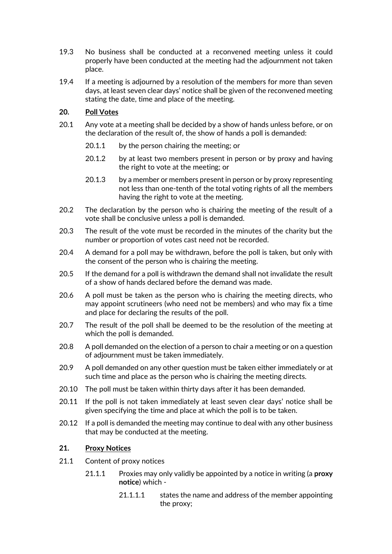- 19.3 No business shall be conducted at a reconvened meeting unless it could properly have been conducted at the meeting had the adjournment not taken place.
- 19.4 If a meeting is adjourned by a resolution of the members for more than seven days, at least seven clear days' notice shall be given of the reconvened meeting stating the date, time and place of the meeting.

## **20. Poll Votes**

- 20.1 Any vote at a meeting shall be decided by a show of hands unless before, or on the declaration of the result of, the show of hands a poll is demanded:
	- 20.1.1 by the person chairing the meeting; or
	- 20.1.2 by at least two members present in person or by proxy and having the right to vote at the meeting; or
	- 20.1.3 by a member or members present in person or by proxy representing not less than one-tenth of the total voting rights of all the members having the right to vote at the meeting.
- 20.2 The declaration by the person who is chairing the meeting of the result of a vote shall be conclusive unless a poll is demanded.
- 20.3 The result of the vote must be recorded in the minutes of the charity but the number or proportion of votes cast need not be recorded.
- 20.4 A demand for a poll may be withdrawn, before the poll is taken, but only with the consent of the person who is chairing the meeting.
- 20.5 If the demand for a poll is withdrawn the demand shall not invalidate the result of a show of hands declared before the demand was made.
- 20.6 A poll must be taken as the person who is chairing the meeting directs, who may appoint scrutineers (who need not be members) and who may fix a time and place for declaring the results of the poll.
- 20.7 The result of the poll shall be deemed to be the resolution of the meeting at which the poll is demanded.
- 20.8 A poll demanded on the election of a person to chair a meeting or on a question of adjournment must be taken immediately.
- 20.9 A poll demanded on any other question must be taken either immediately or at such time and place as the person who is chairing the meeting directs.
- 20.10 The poll must be taken within thirty days after it has been demanded.
- 20.11 If the poll is not taken immediately at least seven clear days' notice shall be given specifying the time and place at which the poll is to be taken.
- 20.12 If a poll is demanded the meeting may continue to deal with any other business that may be conducted at the meeting.

#### <span id="page-11-0"></span>**21. Proxy Notices**

- 21.1 Content of proxy notices
	- 21.1.1 Proxies may only validly be appointed by a notice in writing (a **proxy notice**) which -
		- 21.1.1.1 states the name and address of the member appointing the proxy;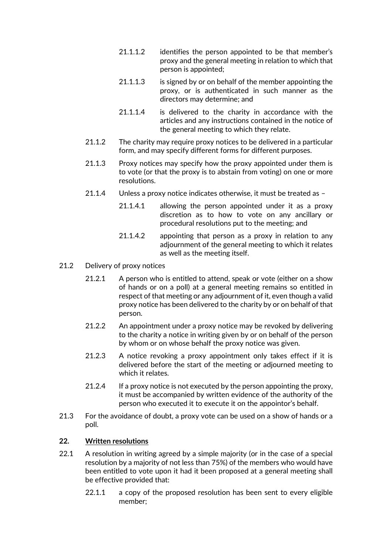- 21.1.1.2 identifies the person appointed to be that member's proxy and the general meeting in relation to which that person is appointed;
- 21.1.1.3 is signed by or on behalf of the member appointing the proxy, or is authenticated in such manner as the directors may determine; and
- 21.1.1.4 is delivered to the charity in accordance with the articles and any instructions contained in the notice of the general meeting to which they relate.
- <span id="page-12-0"></span>21.1.2 The charity may require proxy notices to be delivered in a particular form, and may specify different forms for different purposes.
- 21.1.3 Proxy notices may specify how the proxy appointed under them is to vote (or that the proxy is to abstain from voting) on one or more resolutions.
- 21.1.4 Unless a proxy notice indicates otherwise, it must be treated as
	- 21.1.4.1 allowing the person appointed under it as a proxy discretion as to how to vote on any ancillary or procedural resolutions put to the meeting; and
	- 21.1.4.2 appointing that person as a proxy in relation to any adjournment of the general meeting to which it relates as well as the meeting itself.
- 21.2 Delivery of proxy notices
	- 21.2.1 A person who is entitled to attend, speak or vote (either on a show of hands or on a poll) at a general meeting remains so entitled in respect of that meeting or any adjournment of it, even though a valid proxy notice has been delivered to the charity by or on behalf of that person.
	- 21.2.2 An appointment under a proxy notice may be revoked by delivering to the charity a notice in writing given by or on behalf of the person by whom or on whose behalf the proxy notice was given.
	- 21.2.3 A notice revoking a proxy appointment only takes effect if it is delivered before the start of the meeting or adjourned meeting to which it relates.
	- 21.2.4 If a proxy notice is not executed by the person appointing the proxy, it must be accompanied by written evidence of the authority of the person who executed it to execute it on the appointor's behalf.
- 21.3 For the avoidance of doubt, a proxy vote can be used on a show of hands or a poll.

#### **22. Written resolutions**

- 22.1 A resolution in writing agreed by a simple majority (or in the case of a special resolution by a majority of not less than 75%) of the members who would have been entitled to vote upon it had it been proposed at a general meeting shall be effective provided that:
	- 22.1.1 a copy of the proposed resolution has been sent to every eligible member;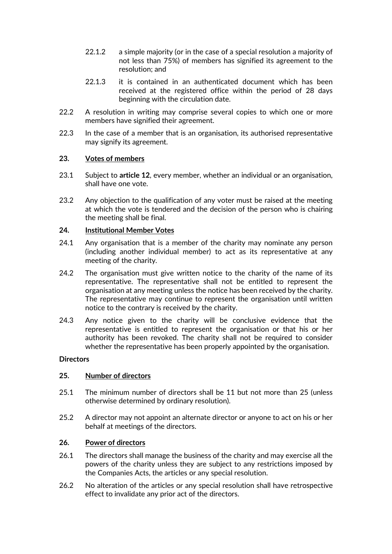- 22.1.2 a simple majority (or in the case of a special resolution a majority of not less than 75%) of members has signified its agreement to the resolution; and
- 22.1.3 it is contained in an authenticated document which has been received at the registered office within the period of 28 days beginning with the circulation date.
- 22.2 A resolution in writing may comprise several copies to which one or more members have signified their agreement.
- 22.3 In the case of a member that is an organisation, its authorised representative may signify its agreement.

## **23. Votes of members**

- 23.1 Subject to **article [12](#page-8-1)**, every member, whether an individual or an organisation, shall have one vote.
- 23.2 Any objection to the qualification of any voter must be raised at the meeting at which the vote is tendered and the decision of the person who is chairing the meeting shall be final.

## **24. Institutional Member Votes**

- 24.1 Any organisation that is a member of the charity may nominate any person (including another individual member) to act as its representative at any meeting of the charity.
- 24.2 The organisation must give written notice to the charity of the name of its representative. The representative shall not be entitled to represent the organisation at any meeting unless the notice has been received by the charity. The representative may continue to represent the organisation until written notice to the contrary is received by the charity.
- 24.3 Any notice given to the charity will be conclusive evidence that the representative is entitled to represent the organisation or that his or her authority has been revoked. The charity shall not be required to consider whether the representative has been properly appointed by the organisation.

#### **Directors**

#### **25. Number of directors**

- 25.1 The minimum number of directors shall be 11 but not more than 25 (unless otherwise determined by ordinary resolution).
- 25.2 A director may not appoint an alternate director or anyone to act on his or her behalf at meetings of the directors.

#### **26. Power of directors**

- 26.1 The directors shall manage the business of the charity and may exercise all the powers of the charity unless they are subject to any restrictions imposed by the Companies Acts, the articles or any special resolution.
- 26.2 No alteration of the articles or any special resolution shall have retrospective effect to invalidate any prior act of the directors.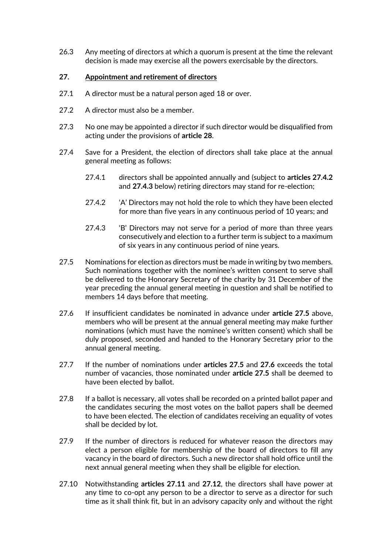26.3 Any meeting of directors at which a quorum is present at the time the relevant decision is made may exercise all the powers exercisable by the directors.

## **27. Appointment and retirement of directors**

- 27.1 A director must be a natural person aged 18 or over.
- 27.2 A director must also be a member.
- 27.3 No one may be appointed a director if such director would be disqualified from acting under the provisions of **article [28](#page-15-0)**.
- <span id="page-14-0"></span>27.4 Save for a President, the election of directors shall take place at the annual general meeting as follows:
	- 27.4.1 directors shall be appointed annually and (subject to **articles [27.4.2](#page-14-0)** and **[27.4.3](#page-14-1)** below) retiring directors may stand for re-election;
	- 27.4.2 <sup>'</sup>A' Directors may not hold the role to which they have been elected for more than five years in any continuous period of 10 years; and
	- 27.4.3 'B' Directors may not serve for a period of more than three years consecutively and election to a further term is subject to a maximum of six years in any continuous period of nine years.
- <span id="page-14-2"></span><span id="page-14-1"></span>27.5 Nominations for election as directors must be made in writing by two members. Such nominations together with the nominee's written consent to serve shall be delivered to the Honorary Secretary of the charity by 31 December of the year preceding the annual general meeting in question and shall be notified to members 14 days before that meeting.
- <span id="page-14-3"></span>27.6 If insufficient candidates be nominated in advance under **article [27.5](#page-14-2)** above, members who will be present at the annual general meeting may make further nominations (which must have the nominee's written consent) which shall be duly proposed, seconded and handed to the Honorary Secretary prior to the annual general meeting.
- 27.7 If the number of nominations under **articles [27.5](#page-14-2)** and **[27.6](#page-14-3)** exceeds the total number of vacancies, those nominated under **article [27.5](#page-14-2)** shall be deemed to have been elected by ballot.
- 27.8 If a ballot is necessary, all votes shall be recorded on a printed ballot paper and the candidates securing the most votes on the ballot papers shall be deemed to have been elected. The election of candidates receiving an equality of votes shall be decided by lot.
- 27.9 If the number of directors is reduced for whatever reason the directors may elect a person eligible for membership of the board of directors to fill any vacancy in the board of directors. Such a new director shall hold office until the next annual general meeting when they shall be eligible for election.
- 27.10 Notwithstanding **articles [27.11](#page-15-1)** and **[27.12](#page-15-2)**, the directors shall have power at any time to co-opt any person to be a director to serve as a director for such time as it shall think fit, but in an advisory capacity only and without the right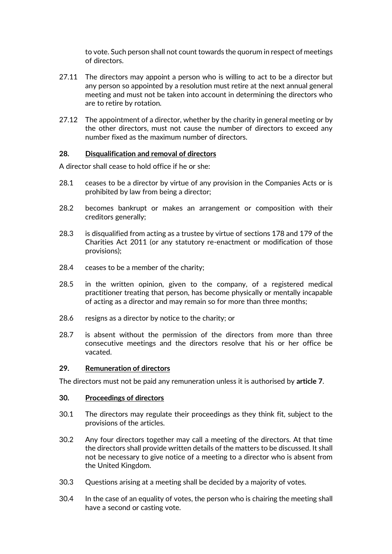to vote. Such person shall not count towards the quorum in respect of meetings of directors.

- <span id="page-15-1"></span>27.11 The directors may appoint a person who is willing to act to be a director but any person so appointed by a resolution must retire at the next annual general meeting and must not be taken into account in determining the directors who are to retire by rotation.
- <span id="page-15-2"></span>27.12 The appointment of a director, whether by the charity in general meeting or by the other directors, must not cause the number of directors to exceed any number fixed as the maximum number of directors.

#### <span id="page-15-0"></span>**28. Disqualification and removal of directors**

A director shall cease to hold office if he or she:

- 28.1 ceases to be a director by virtue of any provision in the Companies Acts or is prohibited by law from being a director;
- 28.2 becomes bankrupt or makes an arrangement or composition with their creditors generally;
- 28.3 is disqualified from acting as a trustee by virtue of sections 178 and 179 of the Charities Act 2011 (or any statutory re-enactment or modification of those provisions);
- 28.4 ceases to be a member of the charity;
- 28.5 in the written opinion, given to the company, of a registered medical practitioner treating that person, has become physically or mentally incapable of acting as a director and may remain so for more than three months;
- 28.6 resigns as a director by notice to the charity; or
- 28.7 is absent without the permission of the directors from more than three consecutive meetings and the directors resolve that his or her office be vacated.

#### **29. Remuneration of directors**

The directors must not be paid any remuneration unless it is authorised by **article [7](#page-5-0)**.

#### **30. Proceedings of directors**

- 30.1 The directors may regulate their proceedings as they think fit, subject to the provisions of the articles.
- 30.2 Any four directors together may call a meeting of the directors. At that time the directors shall provide written details of the matters to be discussed. It shall not be necessary to give notice of a meeting to a director who is absent from the United Kingdom.
- 30.3 Questions arising at a meeting shall be decided by a majority of votes.
- 30.4 In the case of an equality of votes, the person who is chairing the meeting shall have a second or casting vote.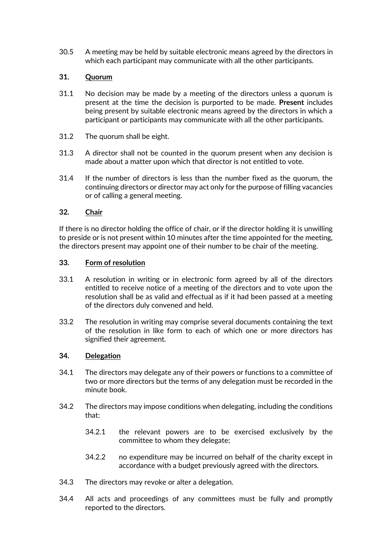30.5 A meeting may be held by suitable electronic means agreed by the directors in which each participant may communicate with all the other participants.

#### **31. Quorum**

- 31.1 No decision may be made by a meeting of the directors unless a quorum is present at the time the decision is purported to be made. **Present** includes being present by suitable electronic means agreed by the directors in which a participant or participants may communicate with all the other participants.
- 31.2 The quorum shall be eight.
- 31.3 A director shall not be counted in the quorum present when any decision is made about a matter upon which that director is not entitled to vote.
- 31.4 If the number of directors is less than the number fixed as the quorum, the continuing directors or director may act only for the purpose of filling vacancies or of calling a general meeting.

## **32. Chair**

If there is no director holding the office of chair, or if the director holding it is unwilling to preside or is not present within 10 minutes after the time appointed for the meeting, the directors present may appoint one of their number to be chair of the meeting.

#### **33. Form of resolution**

- 33.1 A resolution in writing or in electronic form agreed by all of the directors entitled to receive notice of a meeting of the directors and to vote upon the resolution shall be as valid and effectual as if it had been passed at a meeting of the directors duly convened and held.
- 33.2 The resolution in writing may comprise several documents containing the text of the resolution in like form to each of which one or more directors has signified their agreement.

#### **34. Delegation**

- 34.1 The directors may delegate any of their powers or functions to a committee of two or more directors but the terms of any delegation must be recorded in the minute book.
- 34.2 The directors may impose conditions when delegating, including the conditions that:
	- 34.2.1 the relevant powers are to be exercised exclusively by the committee to whom they delegate;
	- 34.2.2 no expenditure may be incurred on behalf of the charity except in accordance with a budget previously agreed with the directors.
- 34.3 The directors may revoke or alter a delegation.
- 34.4 All acts and proceedings of any committees must be fully and promptly reported to the directors.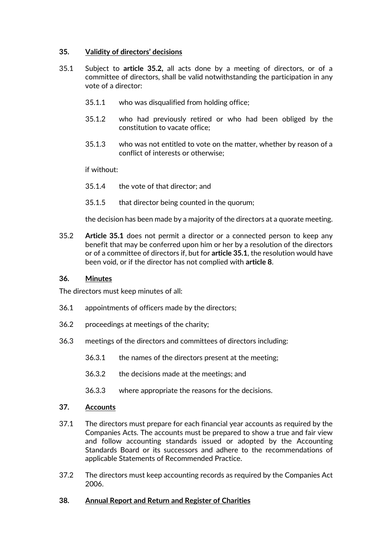#### **35. Validity of directors' decisions**

- <span id="page-17-1"></span>35.1 Subject to **article [35.2,](#page-17-0)** all acts done by a meeting of directors, or of a committee of directors, shall be valid notwithstanding the participation in any vote of a director:
	- 35.1.1 who was disqualified from holding office;
	- 35.1.2 who had previously retired or who had been obliged by the constitution to vacate office;
	- 35.1.3 who was not entitled to vote on the matter, whether by reason of a conflict of interests or otherwise;

if without:

- 35.1.4 the vote of that director; and
- 35.1.5 that director being counted in the quorum;

<span id="page-17-0"></span>the decision has been made by a majority of the directors at a quorate meeting.

35.2 **Article [35.1](#page-17-1)** does not permit a director or a connected person to keep any benefit that may be conferred upon him or her by a resolution of the directors or of a committee of directors if, but for **articl[e 35.1](#page-17-1)**, the resolution would have been void, or if the director has not complied with **article [8](#page-7-0)**.

#### **36. Minutes**

The directors must keep minutes of all:

- 36.1 appointments of officers made by the directors;
- 36.2 proceedings at meetings of the charity;
- 36.3 meetings of the directors and committees of directors including:
	- 36.3.1 the names of the directors present at the meeting;
	- 36.3.2 the decisions made at the meetings; and
	- 36.3.3 where appropriate the reasons for the decisions.

#### **37. Accounts**

- 37.1 The directors must prepare for each financial year accounts as required by the Companies Acts. The accounts must be prepared to show a true and fair view and follow accounting standards issued or adopted by the Accounting Standards Board or its successors and adhere to the recommendations of applicable Statements of Recommended Practice.
- 37.2 The directors must keep accounting records as required by the Companies Act 2006.

#### **38. Annual Report and Return and Register of Charities**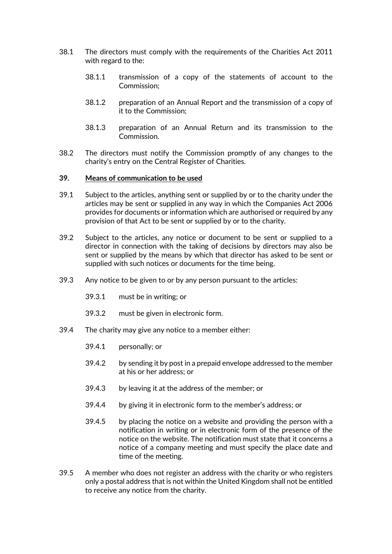- 38.1 The directors must comply with the requirements of the Charities Act 2011 with regard to the:
	- 38.1.1 transmission of a copy of the statements of account to the Commission;
	- 38.1.2 preparation of an Annual Report and the transmission of a copy of it to the Commission;
	- 38.1.3 preparation of an Annual Return and its transmission to the Commission.
- 38.2 The directors must notify the Commission promptly of any changes to the charity's entry on the Central Register of Charities.

#### **39. Means of communication to be used**

- 39.1 Subject to the articles, anything sent or supplied by or to the charity under the articles may be sent or supplied in any way in which the Companies Act 2006 provides for documents or information which are authorised or required by any provision of that Act to be sent or supplied by or to the charity.
- 39.2 Subject to the articles, any notice or document to be sent or supplied to a director in connection with the taking of decisions by directors may also be sent or supplied by the means by which that director has asked to be sent or supplied with such notices or documents for the time being.
- 39.3 Any notice to be given to or by any person pursuant to the articles:
	- 39.3.1 must be in writing; or
	- 39.3.2 must be given in electronic form.
- 39.4 The charity may give any notice to a member either:
	- 39.4.1 personally; or
	- 39.4.2 by sending it by post in a prepaid envelope addressed to the member at his or her address; or
	- 39.4.3 by leaving it at the address of the member; or
	- 39.4.4 by giving it in electronic form to the member's address; or
	- 39.4.5 by placing the notice on a website and providing the person with a notification in writing or in electronic form of the presence of the notice on the website. The notification must state that it concerns a notice of a company meeting and must specify the place date and time of the meeting.
- 39.5 A member who does not register an address with the charity or who registers only a postal address that is not within the United Kingdom shall not be entitled to receive any notice from the charity.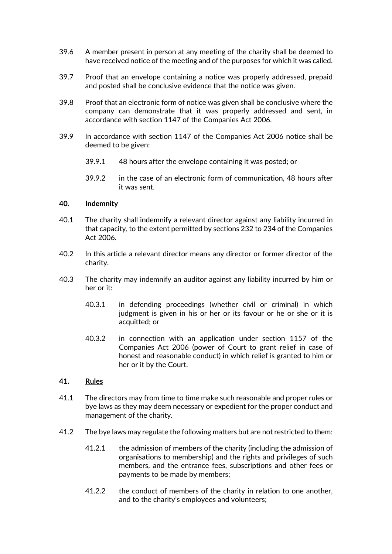- 39.6 A member present in person at any meeting of the charity shall be deemed to have received notice of the meeting and of the purposes for which it was called.
- 39.7 Proof that an envelope containing a notice was properly addressed, prepaid and posted shall be conclusive evidence that the notice was given.
- 39.8 Proof that an electronic form of notice was given shall be conclusive where the company can demonstrate that it was properly addressed and sent, in accordance with section 1147 of the Companies Act 2006.
- 39.9 In accordance with section 1147 of the Companies Act 2006 notice shall be deemed to be given:
	- 39.9.1 48 hours after the envelope containing it was posted; or
	- 39.9.2 in the case of an electronic form of communication, 48 hours after it was sent.

#### <span id="page-19-0"></span>**40. Indemnity**

- 40.1 The charity shall indemnify a relevant director against any liability incurred in that capacity, to the extent permitted by sections 232 to 234 of the Companies Act 2006.
- 40.2 In this article a relevant director means any director or former director of the charity.
- 40.3 The charity may indemnify an auditor against any liability incurred by him or her or it:
	- 40.3.1 in defending proceedings (whether civil or criminal) in which judgment is given in his or her or its favour or he or she or it is acquitted; or
	- 40.3.2 in connection with an application under section 1157 of the Companies Act 2006 (power of Court to grant relief in case of honest and reasonable conduct) in which relief is granted to him or her or it by the Court.

#### **41. Rules**

- 41.1 The directors may from time to time make such reasonable and proper rules or bye laws as they may deem necessary or expedient for the proper conduct and management of the charity.
- 41.2 The bye laws may regulate the following matters but are not restricted to them:
	- 41.2.1 the admission of members of the charity (including the admission of organisations to membership) and the rights and privileges of such members, and the entrance fees, subscriptions and other fees or payments to be made by members;
	- 41.2.2 the conduct of members of the charity in relation to one another, and to the charity's employees and volunteers;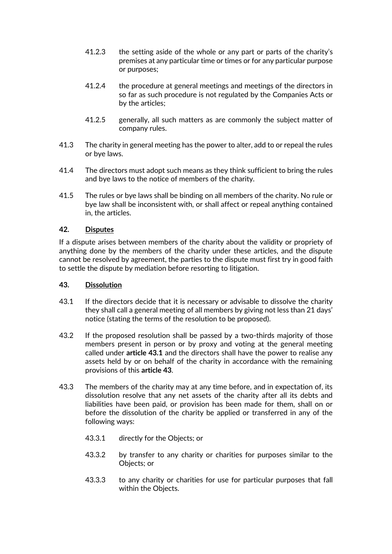- 41.2.3 the setting aside of the whole or any part or parts of the charity's premises at any particular time or times or for any particular purpose or purposes;
- 41.2.4 the procedure at general meetings and meetings of the directors in so far as such procedure is not regulated by the Companies Acts or by the articles;
- 41.2.5 generally, all such matters as are commonly the subject matter of company rules.
- 41.3 The charity in general meeting has the power to alter, add to or repeal the rules or bye laws.
- 41.4 The directors must adopt such means as they think sufficient to bring the rules and bye laws to the notice of members of the charity.
- 41.5 The rules or bye laws shall be binding on all members of the charity. No rule or bye law shall be inconsistent with, or shall affect or repeal anything contained in, the articles.

#### **42. Disputes**

If a dispute arises between members of the charity about the validity or propriety of anything done by the members of the charity under these articles, and the dispute cannot be resolved by agreement, the parties to the dispute must first try in good faith to settle the dispute by mediation before resorting to litigation.

#### <span id="page-20-1"></span>**43. Dissolution**

- <span id="page-20-0"></span>43.1 If the directors decide that it is necessary or advisable to dissolve the charity they shall call a general meeting of all members by giving not less than 21 days' notice (stating the terms of the resolution to be proposed).
- 43.2 If the proposed resolution shall be passed by a two-thirds majority of those members present in person or by proxy and voting at the general meeting called under **article [43.1](#page-20-0)** and the directors shall have the power to realise any assets held by or on behalf of the charity in accordance with the remaining provisions of this **article [43](#page-20-1)**.
- 43.3 The members of the charity may at any time before, and in expectation of, its dissolution resolve that any net assets of the charity after all its debts and liabilities have been paid, or provision has been made for them, shall on or before the dissolution of the charity be applied or transferred in any of the following ways:
	- 43.3.1 directly for the Objects; or
	- 43.3.2 by transfer to any charity or charities for purposes similar to the Objects; or
	- 43.3.3 to any charity or charities for use for particular purposes that fall within the Objects.